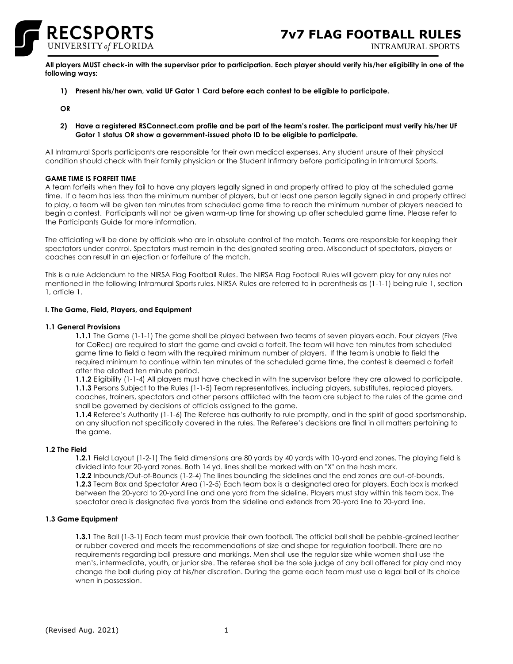

INTRAMURAL SPORTS

**All players MUST check-in with the supervisor prior to participation. Each player should verify his/her eligibility in one of the following ways:**

**1) Present his/her own, valid UF Gator 1 Card before each contest to be eligible to participate.** 

**OR**

**2) Have a registered RSConnect.com profile and be part of the team's roster. The participant must verify his/her UF Gator 1 status OR show a government-issued photo ID to be eligible to participate.**

All Intramural Sports participants are responsible for their own medical expenses. Any student unsure of their physical condition should check with their family physician or the Student Infirmary before participating in Intramural Sports.

# **GAME TIME IS FORFEIT TIME**

A team forfeits when they fail to have any players legally signed in and properly attired to play at the scheduled game time. If a team has less than the minimum number of players, but at least one person legally signed in and properly attired to play, a team will be given ten minutes from scheduled game time to reach the minimum number of players needed to begin a contest. Participants will not be given warm-up time for showing up after scheduled game time. Please refer to the Participants Guide for more information.

The officiating will be done by officials who are in absolute control of the match. Teams are responsible for keeping their spectators under control. Spectators must remain in the designated seating area. Misconduct of spectators, players or coaches can result in an ejection or forfeiture of the match.

This is a rule Addendum to the NIRSA Flag Football Rules. The NIRSA Flag Football Rules will govern play for any rules not mentioned in the following Intramural Sports rules. NIRSA Rules are referred to in parenthesis as (1-1-1) being rule 1, section 1, article 1.

## **I. The Game, Field, Players, and Equipment**

# **1.1 General Provisions**

**1.1.1** The Game (1-1-1) The game shall be played between two teams of seven players each. Four players (Five for CoRec) are required to start the game and avoid a forfeit. The team will have ten minutes from scheduled game time to field a team with the required minimum number of players. If the team is unable to field the required minimum to continue within ten minutes of the scheduled game time, the contest is deemed a forfeit after the allotted ten minute period.

**1.1.2** Eligibility (1-1-4) All players must have checked in with the supervisor before they are allowed to participate. **1.1.3** Persons Subject to the Rules (1-1-5) Team representatives, including players, substitutes, replaced players, coaches, trainers, spectators and other persons affiliated with the team are subject to the rules of the game and shall be governed by decisions of officials assigned to the game.

**1.1.4** Referee's Authority (1-1-6) The Referee has authority to rule promptly, and in the spirit of good sportsmanship, on any situation not specifically covered in the rules. The Referee's decisions are final in all matters pertaining to the game.

#### **1.2 The Field**

**1.2.1** Field Layout (1-2-1) The field dimensions are 80 yards by 40 yards with 10-yard end zones. The playing field is divided into four 20-yard zones. Both 14 yd. lines shall be marked with an "X" on the hash mark.

**1.2.2** Inbounds/Out-of-Bounds (1-2-4) The lines bounding the sidelines and the end zones are out-of-bounds. **1.2.3** Team Box and Spectator Area (1-2-5) Each team box is a designated area for players. Each box is marked between the 20-yard to 20-yard line and one yard from the sideline. Players must stay within this team box. The spectator area is designated five yards from the sideline and extends from 20-yard line to 20-yard line.

#### **1.3 Game Equipment**

**1.3.1** The Ball (1-3-1) Each team must provide their own football. The official ball shall be pebble-grained leather or rubber covered and meets the recommendations of size and shape for regulation football. There are no requirements regarding ball pressure and markings. Men shall use the regular size while women shall use the men's, intermediate, youth, or junior size. The referee shall be the sole judge of any ball offered for play and may change the ball during play at his/her discretion. During the game each team must use a legal ball of its choice when in possession.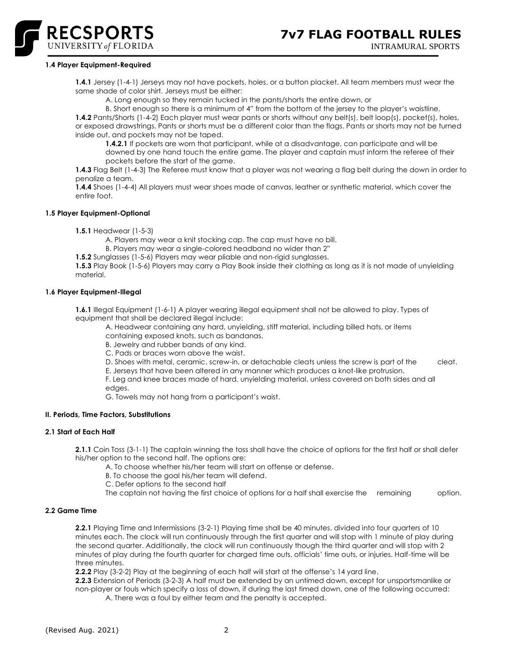

#### **1.4 Player Equipment-Required**

**1.4.1** Jersey (1-4-1) Jerseys may not have pockets, holes, or a button placket. All team members must wear the same shade of color shirt. Jerseys must be either:

A. Long enough so they remain tucked in the pants/shorts the entire down, or

B. Short enough so there is a minimum of 4" from the bottom of the jersey to the player's waistline.

**1.4.2** Pants/Shorts (1-4-2) Each player must wear pants or shorts without any belt(s), belt loop(s), pocket(s), holes, or exposed drawstrings. Pants or shorts must be a different color than the flags. Pants or shorts may not be turned inside out, and pockets may not be taped.

**1.4.2.1** If pockets are worn that participant, while at a disadvantage, can participate and will be downed by one hand touch the entire game. The player and captain must inform the referee of their pockets before the start of the game.

**1.4.3** Flag Belt (1-4-3) The Referee must know that a player was not wearing a flag belt during the down in order to penalize a team.

**1.4.4** Shoes (1-4-4) All players must wear shoes made of canvas, leather or synthetic material, which cover the entire foot.

## **1.5 Player Equipment-Optional**

**1.5.1** Headwear (1-5-3)

A. Players may wear a knit stocking cap. The cap must have no bill.

B. Players may wear a single-colored headband no wider than 2"

**1.5.2** Sunglasses (1-5-6) Players may wear pliable and non-rigid sunglasses.

**1.5.3** Play Book (1-5-6) Players may carry a Play Book inside their clothing as long as it is not made of unyielding material.

# **1.6 Player Equipment-Illegal**

**1.6.1** Illegal Equipment (1-6-1) A player wearing illegal equipment shall not be allowed to play. Types of equipment that shall be declared illegal include:

A. Headwear containing any hard, unyielding, stiff material, including billed hats, or items containing exposed knots, such as bandanas.

B. Jewelry and rubber bands of any kind.

C. Pads or braces worn above the waist.

D. Shoes with metal, ceramic, screw-in, or detachable cleats unless the screw is part of the cleat.

E. Jerseys that have been altered in any manner which produces a knot-like protrusion.

F. Leg and knee braces made of hard, unyielding material, unless covered on both sides and all

edges.

G. Towels may not hang from a participant's waist.

# **II. Periods, Time Factors, Substitutions**

# **2.1 Start of Each Half**

**2.1.1** Coin Toss (3-1-1) The captain winning the toss shall have the choice of options for the first half or shall defer his/her option to the second half. The options are:

A. To choose whether his/her team will start on offense or defense.

B. To choose the goal his/her team will defend.

C. Defer options to the second half

The captain not having the first choice of options for a half shall exercise the remaining option.

#### **2.2 Game Time**

**2.2.1** Playing Time and Intermissions (3-2-1) Playing time shall be 40 minutes, divided into four quarters of 10 minutes each. The clock will run continuously through the first quarter and will stop with 1 minute of play during the second quarter. Additionally, the clock will run continuously though the third quarter and will stop with 2 minutes of play during the fourth quarter for charged time outs, officials' time outs, or injuries. Half-time will be three minutes.

**2.2.2** Play (3-2-2) Play at the beginning of each half will start at the offense's 14 yard line.

**2.2.3** Extension of Periods (3-2-3) A half must be extended by an untimed down, except for unsportsmanlike or non-player or fouls which specify a loss of down, if during the last timed down, one of the following occurred: A. There was a foul by either team and the penalty is accepted.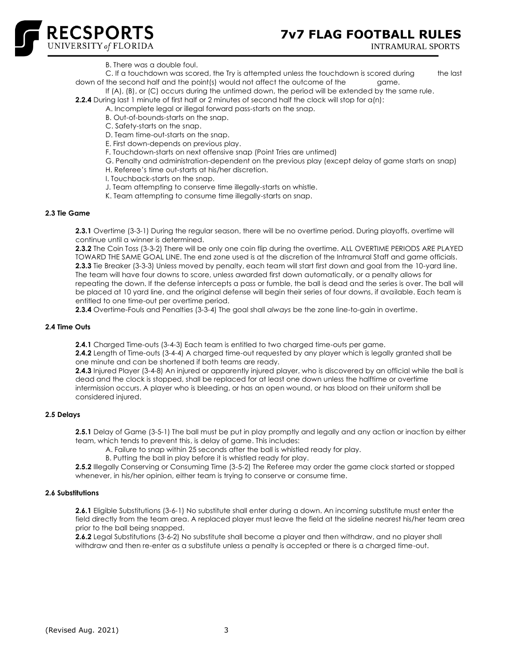

- B. There was a double foul.
- C. If a touchdown was scored, the Try is attempted unless the touchdown is scored during the last down of the second half and the point(s) would not affect the outcome of the game.
- If (A), (B), or (C) occurs during the untimed down, the period will be extended by the same rule.

**2.2.4** During last 1 minute of first half or 2 minutes of second half the clock will stop for  $\alpha(n)$ :

- A. Incomplete legal or illegal forward pass-starts on the snap.
- B. Out-of-bounds-starts on the snap.
- C. Safety-starts on the snap.
- D. Team time-out-starts on the snap.
- E. First down-depends on previous play.
- F. Touchdown-starts on next offensive snap (Point Tries are untimed)
- G. Penalty and administration-dependent on the previous play (except delay of game starts on snap)
	- H. Referee's time out-starts at his/her discretion.
	- I. Touchback-starts on the snap.
	- J. Team attempting to conserve time illegally-starts on whistle.
	- K. Team attempting to consume time illegally-starts on snap.

#### **2.3 Tie Game**

**2.3.1** Overtime (3-3-1) During the regular season, there will be no overtime period. During playoffs, overtime will continue until a winner is determined.

**2.3.2** The Coin Toss (3-3-2) There will be only one coin flip during the overtime. ALL OVERTIME PERIODS ARE PLAYED TOWARD THE SAME GOAL LINE. The end zone used is at the discretion of the Intramural Staff and game officials. **2.3.3** Tie Breaker (3-3-3) Unless moved by penalty, each team will start first down and goal from the 10-yard line. The team will have four downs to score, unless awarded first down automatically, or a penalty allows for repeating the down. If the defense intercepts a pass or fumble, the ball is dead and the series is over. The ball will be placed at 10 yard line, and the original defense will begin their series of four downs, if available. Each team is entitled to one time-out per overtime period.

**2.3.4** Overtime-Fouls and Penalties (3-3-4) The goal shall *always* be the zone line-to-gain in overtime.

#### **2.4 Time Outs**

**2.4.1** Charged Time-outs (3-4-3) Each team is entitled to two charged time-outs per game.

**2.4.2** Length of Time-outs (3-4-4) A charged time-out requested by any player which is legally granted shall be one minute and can be shortened if both teams are ready.

**2.4.3** Injured Player (3-4-8) An injured or apparently injured player, who is discovered by an official while the ball is dead and the clock is stopped, shall be replaced for at least one down unless the halftime or overtime intermission occurs. A player who is bleeding, or has an open wound, or has blood on their uniform shall be considered injured.

#### **2.5 Delays**

**2.5.1** Delay of Game (3-5-1) The ball must be put in play promptly and legally and any action or inaction by either team, which tends to prevent this, is delay of game. This includes:

A. Failure to snap within 25 seconds after the ball is whistled ready for play.

B. Putting the ball in play before it is whistled ready for play.

**2.5.2** Illegally Conserving or Consuming Time (3-5-2) The Referee may order the game clock started or stopped whenever, in his/her opinion, either team is trying to conserve or consume time.

# **2.6 Substitutions**

**2.6.1** Eligible Substitutions (3-6-1) No substitute shall enter during a down. An incoming substitute must enter the field directly from the team area. A replaced player must leave the field at the sideline nearest his/her team area prior to the ball being snapped.

**2.6.2** Legal Substitutions (3-6-2) No substitute shall become a player and then withdraw, and no player shall withdraw and then re-enter as a substitute unless a penalty is accepted or there is a charged time-out.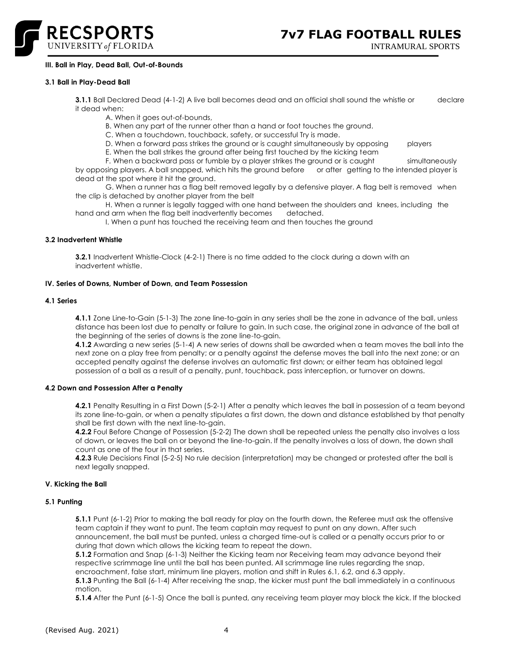

# **III. Ball in Play, Dead Ball, Out-of-Bounds**

#### **3.1 Ball in Play-Dead Ball**

**3.1.1** Ball Declared Dead (4-1-2) A live ball becomes dead and an official shall sound the whistle or declare it dead when:

A. When it goes out-of-bounds,

B. When any part of the runner other than a hand or foot touches the ground.

C. When a touchdown, touchback, safety, or successful Try is made.

D. When a forward pass strikes the ground or is caught simultaneously by opposing players

E. When the ball strikes the ground after being first touched by the kicking team

F. When a backward pass or fumble by a player strikes the ground or is caught simultaneously by opposing players. A ball snapped, which hits the ground before or after getting to the intended player is dead at the spot where it hit the ground.

G. When a runner has a flag belt removed legally by a defensive player. A flag belt is removed when the clip is detached by another player from the belt

H. When a runner is legally tagged with one hand between the shoulders and knees, including the darm when the flag belt inadvertently becomes detached. hand and arm when the flag belt inadvertently becomes

I. When a punt has touched the receiving team and then touches the ground

## **3.2 Inadvertent Whistle**

**3.2.1** Inadvertent Whistle-Clock (4-2-1) There is no time added to the clock during a down with an inadvertent whistle.

## **IV. Series of Downs, Number of Down, and Team Possession**

## **4.1 Series**

**4.1.1** Zone Line-to-Gain (5-1-3) The zone line-to-gain in any series shall be the zone in advance of the ball, unless distance has been lost due to penalty or failure to gain. In such case, the original zone in advance of the ball at the beginning of the series of downs is the zone line-to-gain.

**4.1.2** Awarding a new series (5-1-4) A new series of downs shall be awarded when a team moves the ball into the next zone on a play free from penalty; or a penalty against the defense moves the ball into the next zone; or an accepted penalty against the defense involves an automatic first down; or either team has obtained legal possession of a ball as a result of a penalty, punt, touchback, pass interception, or turnover on downs.

#### **4.2 Down and Possession After a Penalty**

**4.2.1** Penalty Resulting in a First Down (5-2-1) After a penalty which leaves the ball in possession of a team beyond its zone line-to-gain, or when a penalty stipulates a first down, the down and distance established by that penalty shall be first down with the next line-to-gain.

**4.2.2** Foul Before Change of Possession (5-2-2) The down shall be repeated unless the penalty also involves a loss of down, or leaves the ball on or beyond the line-to-gain. If the penalty involves a loss of down, the down shall count as one of the four in that series.

**4.2.3** Rule Decisions Final (5-2-5) No rule decision (interpretation) may be changed or protested after the ball is next legally snapped.

## **V. Kicking the Ball**

#### **5.1 Punting**

**5.1.1** Punt (6-1-2) Prior to making the ball ready for play on the fourth down, the Referee must ask the offensive team captain if they want to punt. The team captain may request to punt on any down. After such announcement, the ball must be punted, unless a charged time-out is called or a penalty occurs prior to or during that down which allows the kicking team to repeat the down.

**5.1.2** Formation and Snap (6-1-3) Neither the Kicking team nor Receiving team may advance beyond their respective scrimmage line until the ball has been punted. All scrimmage line rules regarding the snap,

encroachment, false start, minimum line players, motion and shift in Rules 6.1, 6.2, and 6.3 apply. **5.1.3** Punting the Ball (6-1-4) After receiving the snap, the kicker must punt the ball immediately in a continuous motion.

**5.1.4** After the Punt (6-1-5) Once the ball is punted, any receiving team player may block the kick. If the blocked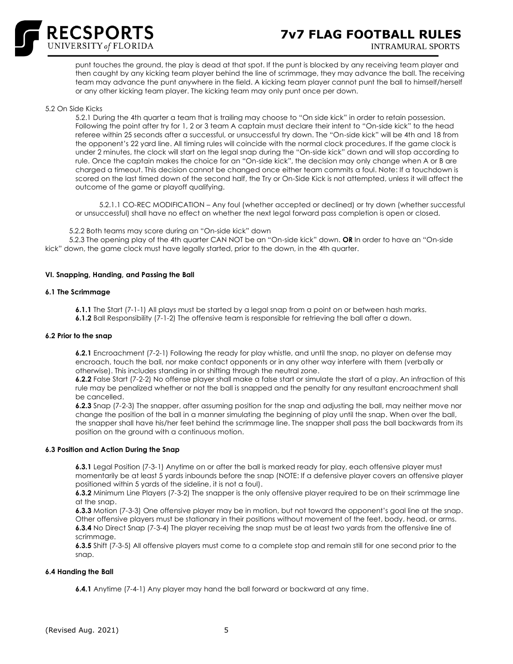

INTRAMURAL SPORTS

punt touches the ground, the play is dead at that spot. If the punt is blocked by any receiving team player and then caught by any kicking team player behind the line of scrimmage, they may advance the ball. The receiving team may advance the punt anywhere in the field. A kicking team player cannot punt the ball to himself/herself or any other kicking team player. The kicking team may only punt once per down.

#### 5.2 On Side Kicks

5.2.1 During the 4th quarter a team that is trailing may choose to "On side kick" in order to retain possession. Following the point after try for 1, 2 or 3 team A captain must declare their intent to "On-side kick" to the head referee within 25 seconds after a successful, or unsuccessful try down. The "On-side kick" will be 4th and 18 from the opponent's 22 yard line. All timing rules will coincide with the normal clock procedures. If the game clock is under 2 minutes, the clock will start on the legal snap during the "On-side kick" down and will stop according to rule. Once the captain makes the choice for an "On-side kick", the decision may only change when A or B are charged a timeout. This decision cannot be changed once either team commits a foul. Note: If a touchdown is scored on the last timed down of the second half, the Try or On-Side Kick is not attempted, unless it will affect the outcome of the game or playoff qualifying.

 5.2.1.1 CO-REC MODIFICATION – Any foul (whether accepted or declined) or try down (whether successful or unsuccessful) shall have no effect on whether the next legal forward pass completion is open or closed.

5.2.2 Both teams may score during an "On-side kick" down

 5.2.3 The opening play of the 4th quarter CAN NOT be an "On-side kick" down. **OR** In order to have an "On-side kick" down, the game clock must have legally started, prior to the down, in the 4th quarter.

#### **VI. Snapping, Handing, and Passing the Ball**

#### **6.1 The Scrimmage**

**6.1.1** The Start (7-1-1) All plays must be started by a legal snap from a point on or between hash marks. **6.1.2** Ball Responsibility (7-1-2) The offensive team is responsible for retrieving the ball after a down.

#### **6.2 Prior to the snap**

**6.2.1** Encroachment (7-2-1) Following the ready for play whistle, and until the snap, no player on defense may encroach, touch the ball, nor make contact opponents or in any other way interfere with them (verbally or otherwise). This includes standing in or shifting through the neutral zone.

**6.2.2** False Start (7-2-2) No offense player shall make a false start or simulate the start of a play. An infraction of this rule may be penalized whether or not the ball is snapped and the penalty for any resultant encroachment shall be cancelled.

**6.2.3** Snap (7-2-3) The snapper, after assuming position for the snap and adjusting the ball, may neither move nor change the position of the ball in a manner simulating the beginning of play until the snap. When over the ball, the snapper shall have his/her feet behind the scrimmage line. The snapper shall pass the ball backwards from its position on the ground with a continuous motion.

#### **6.3 Position and Action During the Snap**

**6.3.1** Legal Position (7-3-1) Anytime on or after the ball is marked ready for play, each offensive player must momentarily be at least 5 yards inbounds before the snap (NOTE: If a defensive player covers an offensive player positioned within 5 yards of the sideline, it is not a foul).

**6.3.2** Minimum Line Players (7-3-2) The snapper is the only offensive player required to be on their scrimmage line at the snap.

**6.3.3** Motion (7-3-3) One offensive player may be in motion, but not toward the opponent's goal line at the snap. Other offensive players must be stationary in their positions without movement of the feet, body, head, or arms. **6.3.4** No Direct Snap (7-3-4) The player receiving the snap must be at least two yards from the offensive line of scrimmage.

**6.3.5** Shift (7-3-5) All offensive players must come to a complete stop and remain still for one second prior to the snap.

#### **6.4 Handing the Ball**

**6.4.1** Anytime (7-4-1) Any player may hand the ball forward or backward at any time.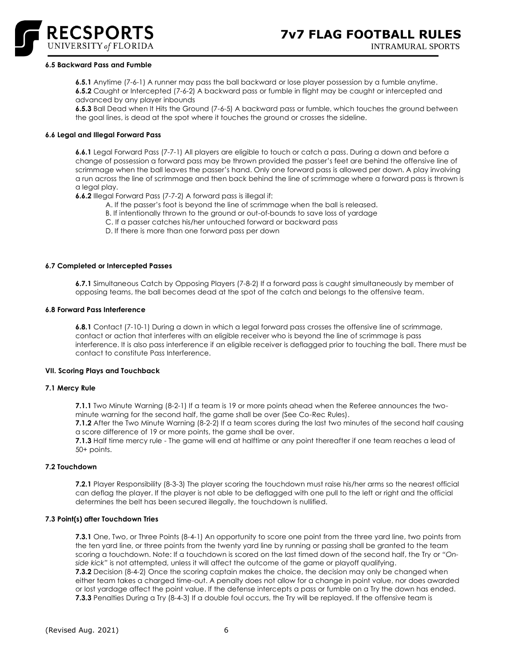

#### **6.5 Backward Pass and Fumble**

**6.5.1** Anytime (7-6-1) A runner may pass the ball backward or lose player possession by a fumble anytime. **6.5.2** Caught or Intercepted (7-6-2) A backward pass or fumble in flight may be caught or intercepted and advanced by any player inbounds

**6.5.3** Ball Dead when It Hits the Ground (7-6-5) A backward pass or fumble, which touches the ground between the goal lines, is dead at the spot where it touches the ground or crosses the sideline.

## **6.6 Legal and Illegal Forward Pass**

**6.6.1** Legal Forward Pass (7-7-1) All players are eligible to touch or catch a pass. During a down and before a change of possession a forward pass may be thrown provided the passer's feet are behind the offensive line of scrimmage when the ball leaves the passer's hand. Only one forward pass is allowed per down. A play involving a run across the line of scrimmage and then back behind the line of scrimmage where a forward pass is thrown is a legal play.

**6.6.2** Illegal Forward Pass (7-7-2) A forward pass is illegal if:

- A. If the passer's foot is beyond the line of scrimmage when the ball is released.
- B. If intentionally thrown to the ground or out-of-bounds to save loss of yardage
- C. If a passer catches his/her untouched forward or backward pass
- D. If there is more than one forward pass per down

#### **6.7 Completed or Intercepted Passes**

**6.7.1** Simultaneous Catch by Opposing Players (7-8-2) If a forward pass is caught simultaneously by member of opposing teams, the ball becomes dead at the spot of the catch and belongs to the offensive team.

#### **6.8 Forward Pass Interference**

**6.8.1** Contact (7-10-1) During a down in which a legal forward pass crosses the offensive line of scrimmage, contact or action that interferes with an eligible receiver who is beyond the line of scrimmage is pass interference. It is also pass interference if an eligible receiver is deflagged prior to touching the ball. There must be contact to constitute Pass Interference.

#### **VII. Scoring Plays and Touchback**

#### **7.1 Mercy Rule**

**7.1.1** Two Minute Warning (8-2-1) If a team is 19 or more points ahead when the Referee announces the twominute warning for the second half, the game shall be over (See Co-Rec Rules).

**7.1.2** After the Two Minute Warning (8-2-2) If a team scores during the last two minutes of the second half causing a score difference of 19 or more points, the game shall be over.

**7.1.3** Half time mercy rule - The game will end at halftime or any point thereafter if one team reaches a lead of 50+ points.

#### **7.2 Touchdown**

**7.2.1** Player Responsibility (8-3-3) The player scoring the touchdown must raise his/her arms so the nearest official can deflag the player. If the player is not able to be deflagged with one pull to the left or right and the official determines the belt has been secured illegally, the touchdown is nullified.

#### **7.3 Point(s) after Touchdown Tries**

**7.3.1** One, Two, or Three Points (8-4-1) An opportunity to score one point from the three yard line, two points from the ten yard line, or three points from the twenty yard line by running or passing shall be granted to the team scoring a touchdown. Note: If a touchdown is scored on the last timed down of the second half, the Try or *"Onside kick"* is not attempted, unless it will affect the outcome of the game or playoff qualifying.

**7.3.2** Decision (8-4-2) Once the scoring captain makes the choice, the decision may only be changed when either team takes a charged time-out. A penalty does not allow for a change in point value, nor does awarded or lost yardage affect the point value. If the defense intercepts a pass or fumble on a Try the down has ended. **7.3.3** Penalties During a Try (8-4-3) If a double foul occurs, the Try will be replayed. If the offensive team is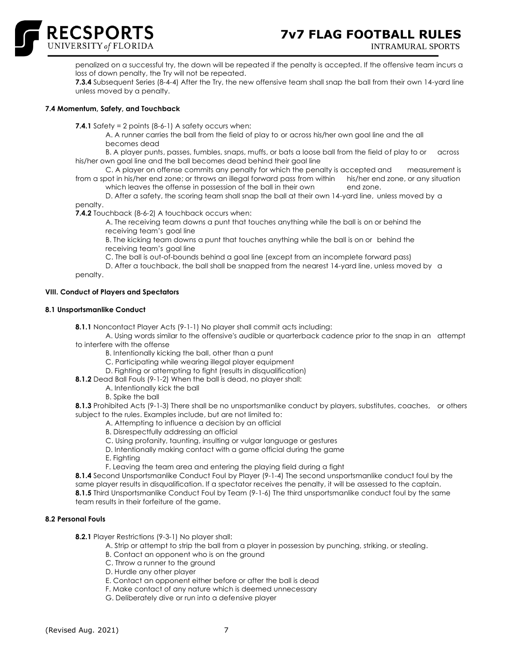

INTRAMURAL SPORTS

penalized on a successful try, the down will be repeated if the penalty is accepted. If the offensive team incurs a loss of down penalty, the Try will not be repeated.

**7.3.4** Subsequent Series (8-4-4) After the Try, the new offensive team shall snap the ball from their own 14-yard line unless moved by a penalty.

# **7.4 Momentum, Safety, and Touchback**

**RECSPORTS** 

**7.4.1** Safety = 2 points (8-6-1) A safety occurs when:

A. A runner carries the ball from the field of play to or across his/her own goal line and the all becomes dead

B. A player punts, passes, fumbles, snaps, muffs, or bats a loose ball from the field of play to or across his/her own goal line and the ball becomes dead behind their goal line

C. A player on offense commits any penalty for which the penalty is accepted and measurement is from a spot in his/her end zone; or throws an illegal forward pass from within his/her end zone, or any situation

which leaves the offense in possession of the ball in their own end zone.

D. After a safety, the scoring team shall snap the ball at their own 14-yard line, unless moved by a penalty.

**7.4.2** Touchback (8-6-2) A touchback occurs when:

A. The receiving team downs a punt that touches anything while the ball is on or behind the receiving team's goal line

B. The kicking team downs a punt that touches anything while the ball is on or behind the receiving team's goal line

C. The ball is out-of-bounds behind a goal line (except from an incomplete forward pass)

D. After a touchback, the ball shall be snapped from the nearest 14-yard line, unless moved by a

penalty.

# **VIII. Conduct of Players and Spectators**

## **8.1 Unsportsmanlike Conduct**

**8.1.1** Noncontact Player Acts (9-1-1) No player shall commit acts including:

A. Using words similar to the offensive's audible or quarterback cadence prior to the snap in an attempt to interfere with the offense

B. Intentionally kicking the ball, other than a punt

C. Participating while wearing illegal player equipment

D. Fighting or attempting to fight (results in disqualification)

**8.1.2** Dead Ball Fouls (9-1-2) When the ball is dead, no player shall:

- A. Intentionally kick the ball
- B. Spike the ball

**8.1.3** Prohibited Acts (9-1-3) There shall be no unsportsmanlike conduct by players, substitutes, coaches, or others subject to the rules. Examples include, but are not limited to:

A. Attempting to influence a decision by an official

B. Disrespectfully addressing an official

C. Using profanity, taunting, insulting or vulgar language or gestures

D. Intentionally making contact with a game official during the game

E. Fighting

F. Leaving the team area and entering the playing field during a fight

**8.1.4** Second Unsportsmanlike Conduct Foul by Player (9-1-4) The second unsportsmanlike conduct foul by the same player results in disqualification. If a spectator receives the penalty, it will be assessed to the captain. **8.1.5** Third Unsportsmanlike Conduct Foul by Team (9-1-6) The third unsportsmanlike conduct foul by the same team results in their forfeiture of the game.

# **8.2 Personal Fouls**

**8.2.1** Player Restrictions (9-3-1) No player shall:

- A. Strip or attempt to strip the ball from a player in possession by punching, striking, or stealing.
- B. Contact an opponent who is on the ground
- C. Throw a runner to the ground
- D. Hurdle any other player
- E. Contact an opponent either before or after the ball is dead
- F. Make contact of any nature which is deemed unnecessary
- G. Deliberately dive or run into a defensive player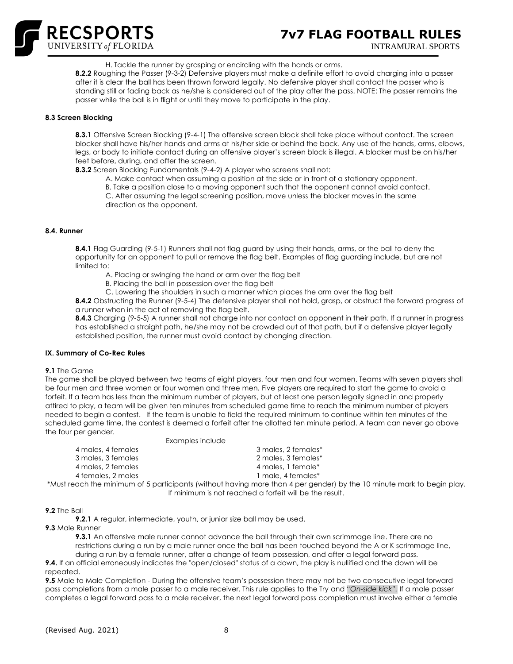

H. Tackle the runner by grasping or encircling with the hands or arms.

**8.2.2** Roughing the Passer (9-3-2) Defensive players must make a definite effort to avoid charging into a passer after it is clear the ball has been thrown forward legally. No defensive player shall contact the passer who is standing still or fading back as he/she is considered out of the play after the pass. NOTE: The passer remains the passer while the ball is in flight or until they move to participate in the play.

## **8.3 Screen Blocking**

**8.3.1** Offensive Screen Blocking (9-4-1) The offensive screen block shall take place without contact. The screen blocker shall have his/her hands and arms at his/her side or behind the back. Any use of the hands, arms, elbows, legs, or body to initiate contact during an offensive player's screen block is illegal. A blocker must be on his/her feet before, during, and after the screen.

**8.3.2** Screen Blocking Fundamentals (9-4-2) A player who screens shall not:

A. Make contact when assuming a position at the side or in front of a stationary opponent.

B. Take a position close to a moving opponent such that the opponent cannot avoid contact.

C. After assuming the legal screening position, move unless the blocker moves in the same direction as the opponent.

## **8.4. Runner**

**8.4.1** Flag Guarding (9-5-1) Runners shall not flag guard by using their hands, arms, or the ball to deny the opportunity for an opponent to pull or remove the flag belt. Examples of flag guarding include, but are not limited to:

- A. Placing or swinging the hand or arm over the flag belt
- B. Placing the ball in possession over the flag belt
- C. Lowering the shoulders in such a manner which places the arm over the flag belt

**8.4.2** Obstructing the Runner (9-5-4) The defensive player shall not hold, grasp, or obstruct the forward progress of a runner when in the act of removing the flag belt.

**8.4.3** Charging (9-5-5) A runner shall not charge into nor contact an opponent in their path. If a runner in progress has established a straight path, he/she may not be crowded out of that path, but if a defensive player legally established position, the runner must avoid contact by changing direction.

# **IX. Summary of Co-Rec Rules**

#### **9.1** The Game

The game shall be played between two teams of eight players, four men and four women. Teams with seven players shall be four men and three women or four women and three men. Five players are required to start the game to avoid a forfeit. If a team has less than the minimum number of players, but at least one person legally signed in and properly attired to play, a team will be given ten minutes from scheduled game time to reach the minimum number of players needed to begin a contest. If the team is unable to field the required minimum to continue within ten minutes of the scheduled game time, the contest is deemed a forfeit after the allotted ten minute period. A team can never go above the four per gender. Examples include

| Examples include   |                                                                                                                        |
|--------------------|------------------------------------------------------------------------------------------------------------------------|
| 4 males, 4 females | 3 males, 2 females*                                                                                                    |
| 3 males, 3 females | 2 males, 3 females*                                                                                                    |
| 4 males, 2 females | 4 males, 1 female*                                                                                                     |
| 4 females, 2 males | 1 male, 4 females*                                                                                                     |
|                    | *Must reach the minimum of 5 participants (without having more than 4 per gender) by the 10 minute mark to begin play. |
|                    | If minimum is not reached a forfeit will be the result.                                                                |

#### **9.2** The Ball

**9.2.1** A regular, intermediate, youth, or junior size ball may be used.

#### **9.3** Male Runner

**9.3.1** An offensive male runner cannot advance the ball through their own scrimmage line. There are no restrictions during a run by a male runner once the ball has been touched beyond the A or K scrimmage line, during a run by a female runner, after a change of team possession, and after a legal forward pass.

**9.4.** If an official erroneously indicates the "open/closed" status of a down, the play is nullified and the down will be repeated.

**9.5** Male to Male Completion - During the offensive team's possession there may not be two consecutive legal forward pass completions from a male passer to a male receiver. This rule applies to the Try and *"On-side kick".* If a male passer completes a legal forward pass to a male receiver, the next legal forward pass completion must involve either a female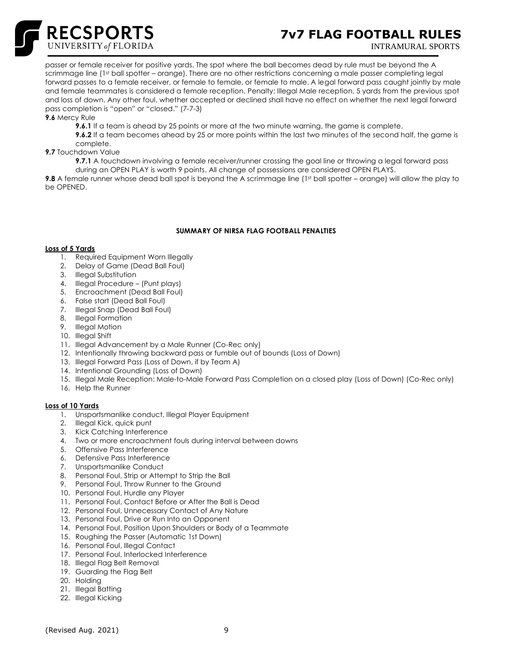

# **7v7 FLAG FOOTBALL RULES**

INTRAMURAL SPORTS

passer or female receiver for positive yards. The spot where the ball becomes dead by rule must be beyond the A scrimmage line (1st ball spotter – orange). There are no other restrictions concerning a male passer completing legal forward passes to a female receiver, or female to female, or female to male. A legal forward pass caught jointly by male and female teammates is considered a female reception. Penalty: Illegal Male reception, 5 yards from the previous spot and loss of down. Any other foul, whether accepted or declined shall have no effect on whether the next legal forward pass completion is "open" or "closed." (7-7-3)

**9.6** Mercy Rule

**9.6.1** If a team is ahead by 25 points or more at the two minute warning, the game is complete.

**9.6.2** If a team becomes ahead by 25 or more points within the last two minutes of the second half, the game is complete.

**9.7** Touchdown Value

**9.7.1** A touchdown involving a female receiver/runner crossing the goal line or throwing a legal forward pass during an OPEN PLAY is worth 9 points. All change of possessions are considered OPEN PLAYS.

**9.8** A female runner whose dead ball spot is beyond the A scrimmage line (1st ball spotter – orange) will allow the play to be OPENED.

# **SUMMARY OF NIRSA FLAG FOOTBALL PENALTIES**

# **Loss of 5 Yards**

- 1. Required Equipment Worn Illegally
- 2. Delay of Game (Dead Ball Foul)
- 3. Illegal Substitution
- 4. Illegal Procedure (Punt plays)
- 5. Encroachment (Dead Ball Foul)
- 6. False start (Dead Ball Foul)
- 7. Illegal Snap (Dead Ball Foul)
- 8. Illegal Formation
- 9. Illegal Motion
- 10. Illegal Shift
- 11. Illegal Advancement by a Male Runner (Co-Rec only)
- 12. Intentionally throwing backward pass or fumble out of bounds (Loss of Down)
- 13. Illegal Forward Pass (Loss of Down, if by Team A)
- 14. Intentional Grounding (Loss of Down)
- 15. Illegal Male Reception: Male-to-Male Forward Pass Completion on a closed play (Loss of Down) (Co-Rec only)
- 16. Help the Runner

#### **Loss of 10 Yards**

- 1. Unsportsmanlike conduct, Illegal Player Equipment
- 2. Illegal Kick, quick punt
- 3. Kick Catching Interference
- 4. Two or more encroachment fouls during interval between downs
- 5. Offensive Pass Interference
- 6. Defensive Pass Interference
- 7. Unsportsmanlike Conduct
- 8. Personal Foul, Strip or Attempt to Strip the Ball
- 9. Personal Foul, Throw Runner to the Ground
- 10. Personal Foul, Hurdle any Player
- 11. Personal Foul, Contact Before or After the Ball is Dead
- 12. Personal Foul, Unnecessary Contact of Any Nature
- 13. Personal Foul, Drive or Run Into an Opponent
- 14. Personal Foul, Position Upon Shoulders or Body of a Teammate
- 15. Roughing the Passer (Automatic 1st Down)
- 16. Personal Foul, Illegal Contact
- 17. Personal Foul, Interlocked Interference
- 18. Illegal Flag Belt Removal
- 19. Guarding the Flag Belt
- 20. Holding
- 21. Illegal Batting
- 22. Illegal Kicking